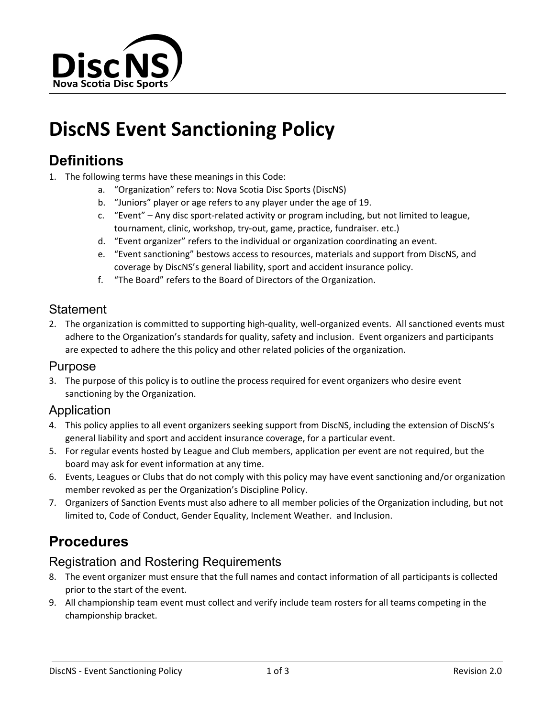

# **DiscNS Event Sanctioning Policy**

### **Definitions**

- 1. The following terms have these meanings in this Code:
	- a. "Organization" refers to: Nova Scotia Disc Sports (DiscNS)
	- b. "Juniors" player or age refers to any player under the age of 19.
	- c. "Event" Any disc sport-related activity or program including, but not limited to league, tournament, clinic, workshop, try-out, game, practice, fundraiser. etc.)
	- d. "Event organizer" refers to the individual or organization coordinating an event.
	- e. "Event sanctioning" bestows access to resources, materials and support from DiscNS, and coverage by DiscNS's general liability, sport and accident insurance policy.
	- f. "The Board" refers to the Board of Directors of the Organization.

### **Statement**

2. The organization is committed to supporting high-quality, well-organized events. All sanctioned events must adhere to the Organization's standards for quality, safety and inclusion. Event organizers and participants are expected to adhere the this policy and other related policies of the organization.

#### Purpose

3. The purpose of this policy is to outline the process required for event organizers who desire event sanctioning by the Organization.

### Application

- 4. This policy applies to all event organizers seeking support from DiscNS, including the extension of DiscNS's general liability and sport and accident insurance coverage, for a particular event.
- 5. For regular events hosted by League and Club members, application per event are not required, but the board may ask for event information at any time.
- 6. Events, Leagues or Clubs that do not comply with this policy may have event sanctioning and/or organization member revoked as per the Organization's Discipline Policy.
- 7. Organizers of Sanction Events must also adhere to all member policies of the Organization including, but not limited to, Code of Conduct, Gender Equality, Inclement Weather. and Inclusion.

## **Procedures**

### Registration and Rostering Requirements

- 8. The event organizer must ensure that the full names and contact information of all participants is collected prior to the start of the event.
- 9. All championship team event must collect and verify include team rosters for all teams competing in the championship bracket.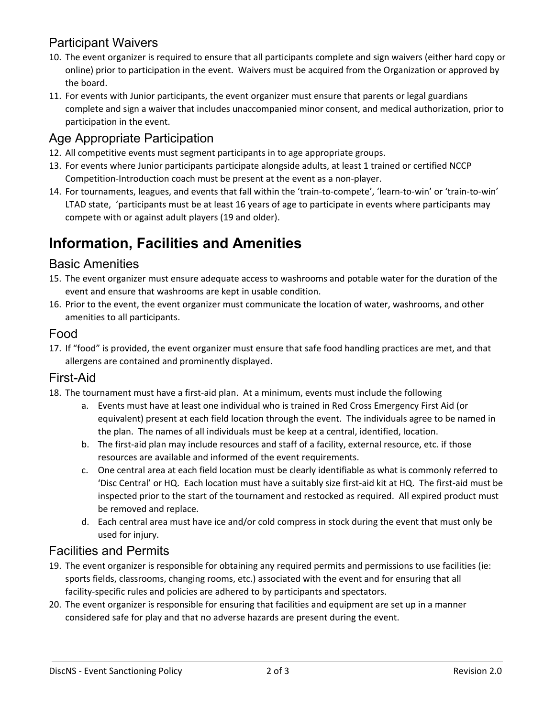### Participant Waivers

- 10. The event organizer is required to ensure that all participants complete and sign waivers (either hard copy or online) prior to participation in the event. Waivers must be acquired from the Organization or approved by the board.
- 11. For events with Junior participants, the event organizer must ensure that parents or legal guardians complete and sign a waiver that includes unaccompanied minor consent, and medical authorization, prior to participation in the event.

### Age Appropriate Participation

- 12. All competitive events must segment participants in to age appropriate groups.
- 13. For events where Junior participants participate alongside adults, at least 1 trained or certified NCCP Competition-Introduction coach must be present at the event as a non-player.
- 14. For tournaments, leagues, and events that fall within the 'train-to-compete', 'learn-to-win' or 'train-to-win' LTAD state, 'participants must be at least 16 years of age to participate in events where participants may compete with or against adult players (19 and older).

# **Information, Facilities and Amenities**

### Basic Amenities

- 15. The event organizer must ensure adequate access to washrooms and potable water for the duration of the event and ensure that washrooms are kept in usable condition.
- 16. Prior to the event, the event organizer must communicate the location of water, washrooms, and other amenities to all participants.

### Food

17. If "food" is provided, the event organizer must ensure that safe food handling practices are met, and that allergens are contained and prominently displayed.

### First-Aid

- 18. The tournament must have a first-aid plan. At a minimum, events must include the following
	- a. Events must have at least one individual who is trained in Red Cross Emergency First Aid (or equivalent) present at each field location through the event. The individuals agree to be named in the plan. The names of all individuals must be keep at a central, identified, location.
	- b. The first-aid plan may include resources and staff of a facility, external resource, etc. if those resources are available and informed of the event requirements.
	- c. One central area at each field location must be clearly identifiable as what is commonly referred to 'Disc Central' or HQ. Each location must have a suitably size first-aid kit at HQ. The first-aid must be inspected prior to the start of the tournament and restocked as required. All expired product must be removed and replace.
	- d. Each central area must have ice and/or cold compress in stock during the event that must only be used for injury.

### Facilities and Permits

- 19. The event organizer is responsible for obtaining any required permits and permissions to use facilities (ie: sports fields, classrooms, changing rooms, etc.) associated with the event and for ensuring that all facility-specific rules and policies are adhered to by participants and spectators.
- 20. The event organizer is responsible for ensuring that facilities and equipment are set up in a manner considered safe for play and that no adverse hazards are present during the event.